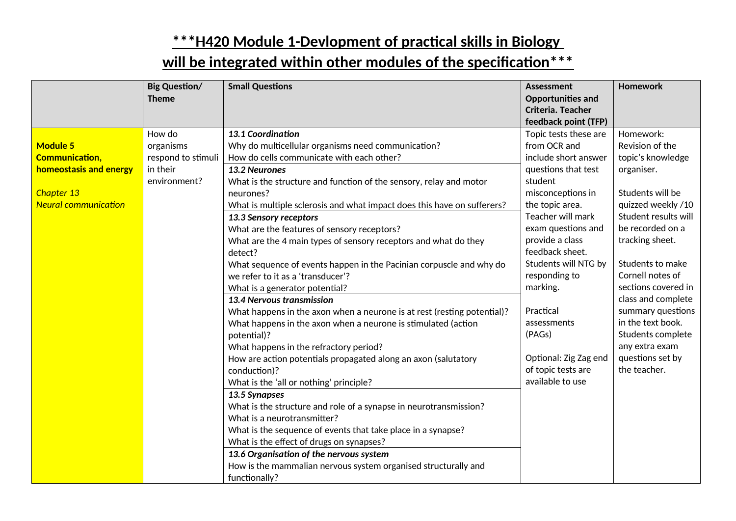|                                                                                                                 | <b>Big Question/</b><br><b>Theme</b>                                  | <b>Small Questions</b>                                                                                                                                                                                                                                                                                                                                                                                                                                                                                                                                                                                                                                                                                                                                                                                                                                                                                                                                                                                                                                                                                                                                                                                                                                                                                                | Assessment<br><b>Opportunities and</b><br>Criteria. Teacher<br>feedback point (TFP)                                                                                                                                                                                                                                                                                                    | Homework                                                                                                                                                                                                                                                                                                                                                                           |
|-----------------------------------------------------------------------------------------------------------------|-----------------------------------------------------------------------|-----------------------------------------------------------------------------------------------------------------------------------------------------------------------------------------------------------------------------------------------------------------------------------------------------------------------------------------------------------------------------------------------------------------------------------------------------------------------------------------------------------------------------------------------------------------------------------------------------------------------------------------------------------------------------------------------------------------------------------------------------------------------------------------------------------------------------------------------------------------------------------------------------------------------------------------------------------------------------------------------------------------------------------------------------------------------------------------------------------------------------------------------------------------------------------------------------------------------------------------------------------------------------------------------------------------------|----------------------------------------------------------------------------------------------------------------------------------------------------------------------------------------------------------------------------------------------------------------------------------------------------------------------------------------------------------------------------------------|------------------------------------------------------------------------------------------------------------------------------------------------------------------------------------------------------------------------------------------------------------------------------------------------------------------------------------------------------------------------------------|
| <b>Module 5</b><br><b>Communication,</b><br>homeostasis and energy<br>Chapter 13<br><b>Neural communication</b> | How do<br>organisms<br>respond to stimuli<br>in their<br>environment? | 13.1 Coordination<br>Why do multicellular organisms need communication?<br>How do cells communicate with each other?<br>13.2 Neurones<br>What is the structure and function of the sensory, relay and motor<br>neurones?<br>What is multiple sclerosis and what impact does this have on sufferers?<br>13.3 Sensory receptors<br>What are the features of sensory receptors?<br>What are the 4 main types of sensory receptors and what do they<br>detect?<br>What sequence of events happen in the Pacinian corpuscle and why do<br>we refer to it as a 'transducer'?<br>What is a generator potential?<br>13.4 Nervous transmission<br>What happens in the axon when a neurone is at rest (resting potential)?<br>What happens in the axon when a neurone is stimulated (action<br>potential)?<br>What happens in the refractory period?<br>How are action potentials propagated along an axon (salutatory<br>conduction)?<br>What is the 'all or nothing' principle?<br>13.5 Synapses<br>What is the structure and role of a synapse in neurotransmission?<br>What is a neurotransmitter?<br>What is the sequence of events that take place in a synapse?<br>What is the effect of drugs on synapses?<br>13.6 Organisation of the nervous system<br>How is the mammalian nervous system organised structurally and | Topic tests these are<br>from OCR and<br>include short answer<br>questions that test<br>student<br>misconceptions in<br>the topic area.<br>Teacher will mark<br>exam questions and<br>provide a class<br>feedback sheet.<br>Students will NTG by<br>responding to<br>marking.<br>Practical<br>assessments<br>(PAGs)<br>Optional: Zig Zag end<br>of topic tests are<br>available to use | Homework:<br>Revision of the<br>topic's knowledge<br>organiser.<br>Students will be<br>quizzed weekly /10<br>Student results will<br>be recorded on a<br>tracking sheet.<br>Students to make<br>Cornell notes of<br>sections covered in<br>class and complete<br>summary questions<br>in the text book.<br>Students complete<br>any extra exam<br>questions set by<br>the teacher. |
|                                                                                                                 |                                                                       | functionally?                                                                                                                                                                                                                                                                                                                                                                                                                                                                                                                                                                                                                                                                                                                                                                                                                                                                                                                                                                                                                                                                                                                                                                                                                                                                                                         |                                                                                                                                                                                                                                                                                                                                                                                        |                                                                                                                                                                                                                                                                                                                                                                                    |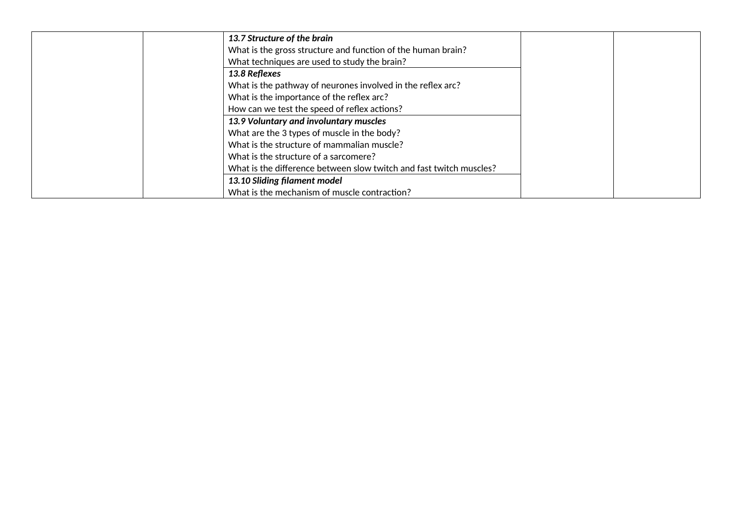| 13.7 Structure of the brain                                         |  |
|---------------------------------------------------------------------|--|
| What is the gross structure and function of the human brain?        |  |
| What techniques are used to study the brain?                        |  |
| 13.8 Reflexes                                                       |  |
| What is the pathway of neurones involved in the reflex arc?         |  |
| What is the importance of the reflex arc?                           |  |
| How can we test the speed of reflex actions?                        |  |
| 13.9 Voluntary and involuntary muscles                              |  |
| What are the 3 types of muscle in the body?                         |  |
| What is the structure of mammalian muscle?                          |  |
| What is the structure of a sarcomere?                               |  |
| What is the difference between slow twitch and fast twitch muscles? |  |
| 13.10 Sliding filament model                                        |  |
| What is the mechanism of muscle contraction?                        |  |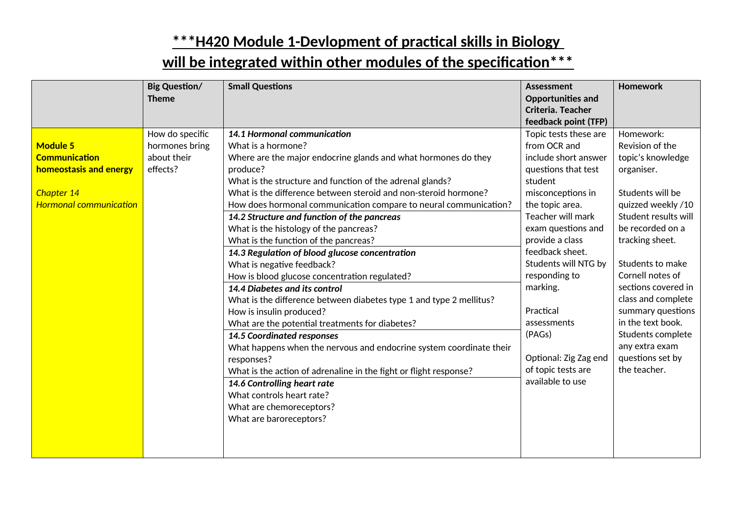|                               | <b>Big Question/</b> | <b>Small Questions</b>                                                | <b>Assessment</b>              | <b>Homework</b>      |
|-------------------------------|----------------------|-----------------------------------------------------------------------|--------------------------------|----------------------|
|                               | <b>Theme</b>         |                                                                       | <b>Opportunities and</b>       |                      |
|                               |                      |                                                                       | Criteria. Teacher              |                      |
|                               |                      |                                                                       | feedback point (TFP)           |                      |
|                               | How do specific      | 14.1 Hormonal communication                                           | Topic tests these are          | Homework:            |
| <b>Module 5</b>               | hormones bring       | What is a hormone?                                                    | from OCR and                   | Revision of the      |
| <b>Communication</b>          | about their          | Where are the major endocrine glands and what hormones do they        | include short answer           | topic's knowledge    |
| homeostasis and energy        | effects?             | produce?<br>What is the structure and function of the adrenal glands? | questions that test<br>student | organiser.           |
| Chapter 14                    |                      | What is the difference between steroid and non-steroid hormone?       | misconceptions in              | Students will be     |
| <b>Hormonal communication</b> |                      | How does hormonal communication compare to neural communication?      | the topic area.                | quizzed weekly /10   |
|                               |                      | 14.2 Structure and function of the pancreas                           | Teacher will mark              | Student results will |
|                               |                      | What is the histology of the pancreas?                                | exam questions and             | be recorded on a     |
|                               |                      | What is the function of the pancreas?                                 | provide a class                | tracking sheet.      |
|                               |                      | 14.3 Regulation of blood glucose concentration                        | feedback sheet.                |                      |
|                               |                      | What is negative feedback?                                            | Students will NTG by           | Students to make     |
|                               |                      | How is blood glucose concentration regulated?                         | responding to                  | Cornell notes of     |
|                               |                      | 14.4 Diabetes and its control                                         | marking.                       | sections covered in  |
|                               |                      | What is the difference between diabetes type 1 and type 2 mellitus?   |                                | class and complete   |
|                               |                      | How is insulin produced?                                              | Practical                      | summary questions    |
|                               |                      | What are the potential treatments for diabetes?                       | assessments                    | in the text book.    |
|                               |                      | <b>14.5 Coordinated responses</b>                                     | (PAGs)                         | Students complete    |
|                               |                      | What happens when the nervous and endocrine system coordinate their   |                                | any extra exam       |
|                               |                      | responses?                                                            | Optional: Zig Zag end          | questions set by     |
|                               |                      | What is the action of adrenaline in the fight or flight response?     | of topic tests are             | the teacher.         |
|                               |                      | 14.6 Controlling heart rate                                           | available to use               |                      |
|                               |                      | What controls heart rate?                                             |                                |                      |
|                               |                      | What are chemoreceptors?                                              |                                |                      |
|                               |                      | What are baroreceptors?                                               |                                |                      |
|                               |                      |                                                                       |                                |                      |
|                               |                      |                                                                       |                                |                      |
|                               |                      |                                                                       |                                |                      |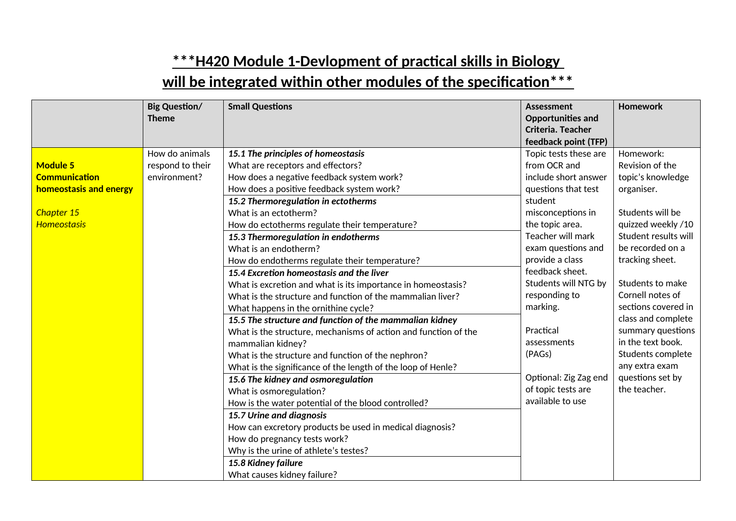|                                                                                                       | <b>Big Question/</b><br><b>Theme</b>               | <b>Small Questions</b>                                                                                                                                                                                                                                                                                                                                                                                                                                                                                                                                                                                                                                                                                                                                                                                                                                                                                                                                                                                                 | <b>Assessment</b><br><b>Opportunities and</b>                                                                                                                                                                                                                                                                                                                                                               | Homework                                                                                                                                                                                                                                                                                                                                                                           |
|-------------------------------------------------------------------------------------------------------|----------------------------------------------------|------------------------------------------------------------------------------------------------------------------------------------------------------------------------------------------------------------------------------------------------------------------------------------------------------------------------------------------------------------------------------------------------------------------------------------------------------------------------------------------------------------------------------------------------------------------------------------------------------------------------------------------------------------------------------------------------------------------------------------------------------------------------------------------------------------------------------------------------------------------------------------------------------------------------------------------------------------------------------------------------------------------------|-------------------------------------------------------------------------------------------------------------------------------------------------------------------------------------------------------------------------------------------------------------------------------------------------------------------------------------------------------------------------------------------------------------|------------------------------------------------------------------------------------------------------------------------------------------------------------------------------------------------------------------------------------------------------------------------------------------------------------------------------------------------------------------------------------|
|                                                                                                       |                                                    |                                                                                                                                                                                                                                                                                                                                                                                                                                                                                                                                                                                                                                                                                                                                                                                                                                                                                                                                                                                                                        | feedback point (TFP)                                                                                                                                                                                                                                                                                                                                                                                        |                                                                                                                                                                                                                                                                                                                                                                                    |
| <b>Module 5</b><br><b>Communication</b><br>homeostasis and energy<br>Chapter 15<br><b>Homeostasis</b> | How do animals<br>respond to their<br>environment? | 15.1 The principles of homeostasis<br>What are receptors and effectors?<br>How does a negative feedback system work?<br>How does a positive feedback system work?<br>15.2 Thermoregulation in ectotherms<br>What is an ectotherm?<br>How do ectotherms regulate their temperature?<br>15.3 Thermoregulation in endotherms<br>What is an endotherm?<br>How do endotherms regulate their temperature?<br>15.4 Excretion homeostasis and the liver<br>What is excretion and what is its importance in homeostasis?<br>What is the structure and function of the mammalian liver?<br>What happens in the ornithine cycle?<br>15.5 The structure and function of the mammalian kidney<br>What is the structure, mechanisms of action and function of the<br>mammalian kidney?<br>What is the structure and function of the nephron?<br>What is the significance of the length of the loop of Henle?<br>15.6 The kidney and osmoregulation<br>What is osmoregulation?<br>How is the water potential of the blood controlled? | Criteria. Teacher<br>Topic tests these are<br>from OCR and<br>include short answer<br>questions that test<br>student<br>misconceptions in<br>the topic area.<br>Teacher will mark<br>exam questions and<br>provide a class<br>feedback sheet.<br>Students will NTG by<br>responding to<br>marking.<br>Practical<br>assessments<br>(PAGs)<br>Optional: Zig Zag end<br>of topic tests are<br>available to use | Homework:<br>Revision of the<br>topic's knowledge<br>organiser.<br>Students will be<br>quizzed weekly /10<br>Student results will<br>be recorded on a<br>tracking sheet.<br>Students to make<br>Cornell notes of<br>sections covered in<br>class and complete<br>summary questions<br>in the text book.<br>Students complete<br>any extra exam<br>questions set by<br>the teacher. |
|                                                                                                       |                                                    | 15.7 Urine and diagnosis<br>How can excretory products be used in medical diagnosis?<br>How do pregnancy tests work?<br>Why is the urine of athlete's testes?<br>15.8 Kidney failure<br>What causes kidney failure?                                                                                                                                                                                                                                                                                                                                                                                                                                                                                                                                                                                                                                                                                                                                                                                                    |                                                                                                                                                                                                                                                                                                                                                                                                             |                                                                                                                                                                                                                                                                                                                                                                                    |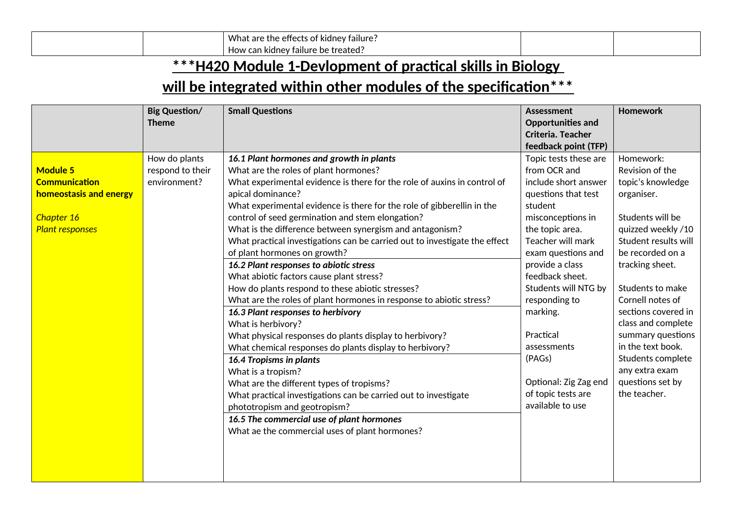|  | $\cdot$ .<br>What<br>* kidney failure.<br>effects<br>The<br>are<br>~~<br>. |  |
|--|----------------------------------------------------------------------------|--|
|  | railure<br>can kidne<br>How<br>. bel<br>eated<br>Tre                       |  |

|                                                                                                           | <b>Big Question/</b><br><b>Theme</b>              | <b>Small Questions</b>                                                                                                                                                                                                                                                                                                                                                                                                                                                                                                                                                                                                                                                                                                                                                                                                                                                                                                                                                                                                                                                                                                                                                                              | <b>Assessment</b><br><b>Opportunities and</b><br>Criteria. Teacher<br>feedback point (TFP)                                                                                                                                                                                                                                                                                             | <b>Homework</b>                                                                                                                                                                                                                                                                                                                                                                    |
|-----------------------------------------------------------------------------------------------------------|---------------------------------------------------|-----------------------------------------------------------------------------------------------------------------------------------------------------------------------------------------------------------------------------------------------------------------------------------------------------------------------------------------------------------------------------------------------------------------------------------------------------------------------------------------------------------------------------------------------------------------------------------------------------------------------------------------------------------------------------------------------------------------------------------------------------------------------------------------------------------------------------------------------------------------------------------------------------------------------------------------------------------------------------------------------------------------------------------------------------------------------------------------------------------------------------------------------------------------------------------------------------|----------------------------------------------------------------------------------------------------------------------------------------------------------------------------------------------------------------------------------------------------------------------------------------------------------------------------------------------------------------------------------------|------------------------------------------------------------------------------------------------------------------------------------------------------------------------------------------------------------------------------------------------------------------------------------------------------------------------------------------------------------------------------------|
| <b>Module 5</b><br><b>Communication</b><br>homeostasis and energy<br>Chapter 16<br><b>Plant responses</b> | How do plants<br>respond to their<br>environment? | 16.1 Plant hormones and growth in plants<br>What are the roles of plant hormones?<br>What experimental evidence is there for the role of auxins in control of<br>apical dominance?<br>What experimental evidence is there for the role of gibberellin in the<br>control of seed germination and stem elongation?<br>What is the difference between synergism and antagonism?<br>What practical investigations can be carried out to investigate the effect<br>of plant hormones on growth?<br>16.2 Plant responses to abiotic stress<br>What abiotic factors cause plant stress?<br>How do plants respond to these abiotic stresses?<br>What are the roles of plant hormones in response to abiotic stress?<br>16.3 Plant responses to herbivory<br>What is herbivory?<br>What physical responses do plants display to herbivory?<br>What chemical responses do plants display to herbivory?<br><b>16.4 Tropisms in plants</b><br>What is a tropism?<br>What are the different types of tropisms?<br>What practical investigations can be carried out to investigate<br>phototropism and geotropism?<br>16.5 The commercial use of plant hormones<br>What ae the commercial uses of plant hormones? | Topic tests these are<br>from OCR and<br>include short answer<br>questions that test<br>student<br>misconceptions in<br>the topic area.<br>Teacher will mark<br>exam questions and<br>provide a class<br>feedback sheet.<br>Students will NTG by<br>responding to<br>marking.<br>Practical<br>assessments<br>(PAGs)<br>Optional: Zig Zag end<br>of topic tests are<br>available to use | Homework:<br>Revision of the<br>topic's knowledge<br>organiser.<br>Students will be<br>quizzed weekly /10<br>Student results will<br>be recorded on a<br>tracking sheet.<br>Students to make<br>Cornell notes of<br>sections covered in<br>class and complete<br>summary questions<br>in the text book.<br>Students complete<br>any extra exam<br>questions set by<br>the teacher. |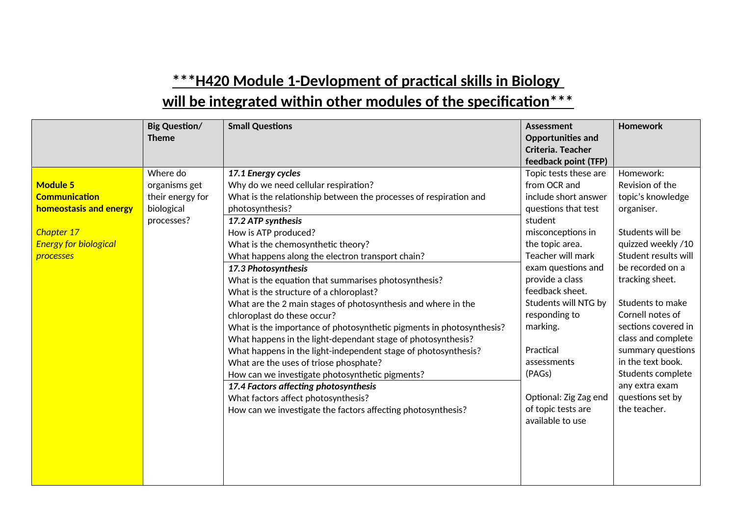|                                         | <b>Big Question/</b>                          | <b>Small Questions</b>                                                                                                          | <b>Assessment</b>                                             | <b>Homework</b>                                   |
|-----------------------------------------|-----------------------------------------------|---------------------------------------------------------------------------------------------------------------------------------|---------------------------------------------------------------|---------------------------------------------------|
|                                         | <b>Theme</b>                                  |                                                                                                                                 | <b>Opportunities and</b><br>Criteria. Teacher                 |                                                   |
|                                         |                                               |                                                                                                                                 | feedback point (TFP)                                          |                                                   |
| <b>Module 5</b><br><b>Communication</b> | Where do<br>organisms get<br>their energy for | 17.1 Energy cycles<br>Why do we need cellular respiration?<br>What is the relationship between the processes of respiration and | Topic tests these are<br>from OCR and<br>include short answer | Homework:<br>Revision of the<br>topic's knowledge |
| homeostasis and energy                  | biological                                    | photosynthesis?                                                                                                                 | questions that test                                           | organiser.                                        |
|                                         | processes?                                    | 17.2 ATP synthesis                                                                                                              | student                                                       |                                                   |
| Chapter 17                              |                                               | How is ATP produced?                                                                                                            | misconceptions in                                             | Students will be                                  |
| <b>Energy for biological</b>            |                                               | What is the chemosynthetic theory?                                                                                              | the topic area.                                               | quizzed weekly /10                                |
| processes                               |                                               | What happens along the electron transport chain?                                                                                | Teacher will mark                                             | Student results will                              |
|                                         |                                               | 17.3 Photosynthesis                                                                                                             | exam questions and                                            | be recorded on a                                  |
|                                         |                                               | What is the equation that summarises photosynthesis?                                                                            | provide a class                                               | tracking sheet.                                   |
|                                         |                                               | What is the structure of a chloroplast?                                                                                         | feedback sheet.                                               |                                                   |
|                                         |                                               | What are the 2 main stages of photosynthesis and where in the                                                                   | Students will NTG by                                          | Students to make                                  |
|                                         |                                               | chloroplast do these occur?                                                                                                     | responding to                                                 | Cornell notes of                                  |
|                                         |                                               | What is the importance of photosynthetic pigments in photosynthesis?                                                            | marking.                                                      | sections covered in                               |
|                                         |                                               | What happens in the light-dependant stage of photosynthesis?                                                                    | Practical                                                     | class and complete                                |
|                                         |                                               | What happens in the light-independent stage of photosynthesis?                                                                  | assessments                                                   | summary questions<br>in the text book.            |
|                                         |                                               | What are the uses of triose phosphate?<br>How can we investigate photosynthetic pigments?                                       | (PAGs)                                                        | Students complete                                 |
|                                         |                                               | 17.4 Factors affecting photosynthesis                                                                                           |                                                               | any extra exam                                    |
|                                         |                                               | What factors affect photosynthesis?                                                                                             | Optional: Zig Zag end                                         | questions set by                                  |
|                                         |                                               | How can we investigate the factors affecting photosynthesis?                                                                    | of topic tests are                                            | the teacher.                                      |
|                                         |                                               |                                                                                                                                 | available to use                                              |                                                   |
|                                         |                                               |                                                                                                                                 |                                                               |                                                   |
|                                         |                                               |                                                                                                                                 |                                                               |                                                   |
|                                         |                                               |                                                                                                                                 |                                                               |                                                   |
|                                         |                                               |                                                                                                                                 |                                                               |                                                   |
|                                         |                                               |                                                                                                                                 |                                                               |                                                   |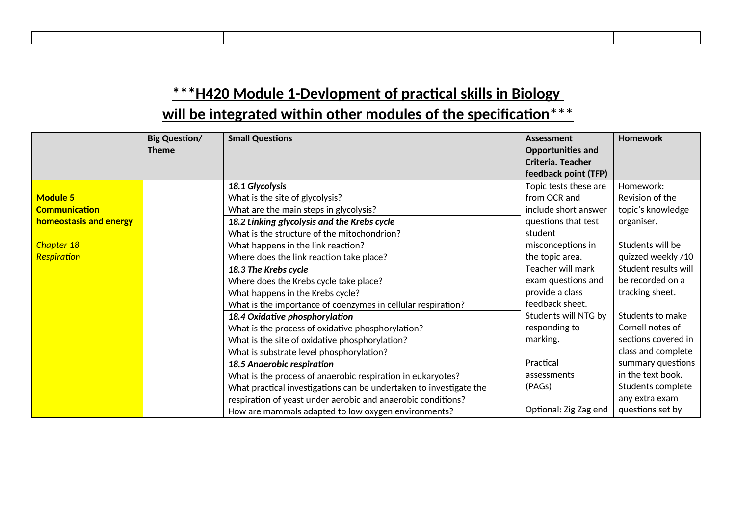|                        | <b>Big Question/</b><br><b>Theme</b> | <b>Small Questions</b>                                             | Assessment<br>Opportunities and<br>Criteria. Teacher<br>feedback point (TFP) | <b>Homework</b>      |
|------------------------|--------------------------------------|--------------------------------------------------------------------|------------------------------------------------------------------------------|----------------------|
|                        |                                      | 18.1 Glycolysis                                                    | Topic tests these are                                                        | Homework:            |
| <b>Module 5</b>        |                                      | What is the site of glycolysis?                                    | from OCR and                                                                 | Revision of the      |
| <b>Communication</b>   |                                      | What are the main steps in glycolysis?                             | include short answer                                                         | topic's knowledge    |
| homeostasis and energy |                                      | 18.2 Linking glycolysis and the Krebs cycle                        | questions that test                                                          | organiser.           |
|                        |                                      | What is the structure of the mitochondrion?                        | student                                                                      |                      |
| Chapter 18             |                                      | What happens in the link reaction?                                 | misconceptions in                                                            | Students will be     |
| Respiration            |                                      | Where does the link reaction take place?                           | the topic area.                                                              | quizzed weekly /10   |
|                        |                                      | 18.3 The Krebs cycle                                               | Teacher will mark                                                            | Student results will |
|                        |                                      | Where does the Krebs cycle take place?                             | exam questions and                                                           | be recorded on a     |
|                        |                                      | What happens in the Krebs cycle?                                   | provide a class                                                              | tracking sheet.      |
|                        |                                      | What is the importance of coenzymes in cellular respiration?       | feedback sheet.                                                              |                      |
|                        |                                      | 18.4 Oxidative phosphorylation                                     | Students will NTG by                                                         | Students to make     |
|                        |                                      | What is the process of oxidative phosphorylation?                  | responding to                                                                | Cornell notes of     |
|                        |                                      | What is the site of oxidative phosphorylation?                     | marking.                                                                     | sections covered in  |
|                        |                                      | What is substrate level phosphorylation?                           |                                                                              | class and complete   |
|                        |                                      | 18.5 Anaerobic respiration                                         | Practical                                                                    | summary questions    |
|                        |                                      | What is the process of anaerobic respiration in eukaryotes?        | assessments                                                                  | in the text book.    |
|                        |                                      | What practical investigations can be undertaken to investigate the | (PAGs)                                                                       | Students complete    |
|                        |                                      | respiration of yeast under aerobic and anaerobic conditions?       |                                                                              | any extra exam       |
|                        |                                      | How are mammals adapted to low oxygen environments?                | Optional: Zig Zag end                                                        | questions set by     |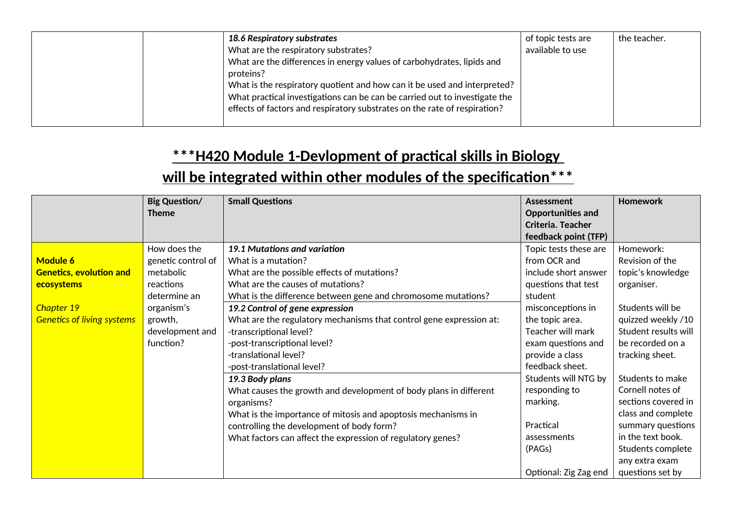| 18.6 Respiratory substrates                                                | of topic tests are | the teacher. |
|----------------------------------------------------------------------------|--------------------|--------------|
| What are the respiratory substrates?                                       | available to use   |              |
| What are the differences in energy values of carbohydrates, lipids and     |                    |              |
| proteins?                                                                  |                    |              |
| What is the respiratory quotient and how can it be used and interpreted?   |                    |              |
| What practical investigations can be can be carried out to investigate the |                    |              |
| effects of factors and respiratory substrates on the rate of respiration?  |                    |              |
|                                                                            |                    |              |

|                                   | <b>Big Question/</b> | <b>Small Questions</b>                                              | <b>Assessment</b>        | <b>Homework</b>      |
|-----------------------------------|----------------------|---------------------------------------------------------------------|--------------------------|----------------------|
|                                   | <b>Theme</b>         |                                                                     | <b>Opportunities and</b> |                      |
|                                   |                      |                                                                     | Criteria. Teacher        |                      |
|                                   |                      |                                                                     | feedback point (TFP)     |                      |
|                                   | How does the         | 19.1 Mutations and variation                                        | Topic tests these are    | Homework:            |
| <b>Module 6</b>                   | genetic control of   | What is a mutation?                                                 | from OCR and             | Revision of the      |
| <b>Genetics, evolution and</b>    | metabolic            | What are the possible effects of mutations?                         | include short answer     | topic's knowledge    |
| ecosystems                        | reactions            | What are the causes of mutations?                                   | questions that test      | organiser.           |
|                                   | determine an         | What is the difference between gene and chromosome mutations?       | student                  |                      |
| Chapter 19                        | organism's           | 19.2 Control of gene expression                                     | misconceptions in        | Students will be     |
| <b>Genetics of living systems</b> | growth,              | What are the regulatory mechanisms that control gene expression at: | the topic area.          | quizzed weekly /10   |
|                                   | development and      | -transcriptional level?                                             | Teacher will mark        | Student results will |
|                                   | function?            | -post-transcriptional level?                                        | exam questions and       | be recorded on a     |
|                                   |                      | -translational level?                                               | provide a class          | tracking sheet.      |
|                                   |                      | -post-translational level?                                          | feedback sheet.          |                      |
|                                   |                      | 19.3 Body plans                                                     | Students will NTG by     | Students to make     |
|                                   |                      | What causes the growth and development of body plans in different   | responding to            | Cornell notes of     |
|                                   |                      | organisms?                                                          | marking.                 | sections covered in  |
|                                   |                      | What is the importance of mitosis and apoptosis mechanisms in       |                          | class and complete   |
|                                   |                      | controlling the development of body form?                           | Practical                | summary questions    |
|                                   |                      | What factors can affect the expression of regulatory genes?         | assessments              | in the text book.    |
|                                   |                      |                                                                     | (PAGs)                   | Students complete    |
|                                   |                      |                                                                     |                          | any extra exam       |
|                                   |                      |                                                                     | Optional: Zig Zag end    | questions set by     |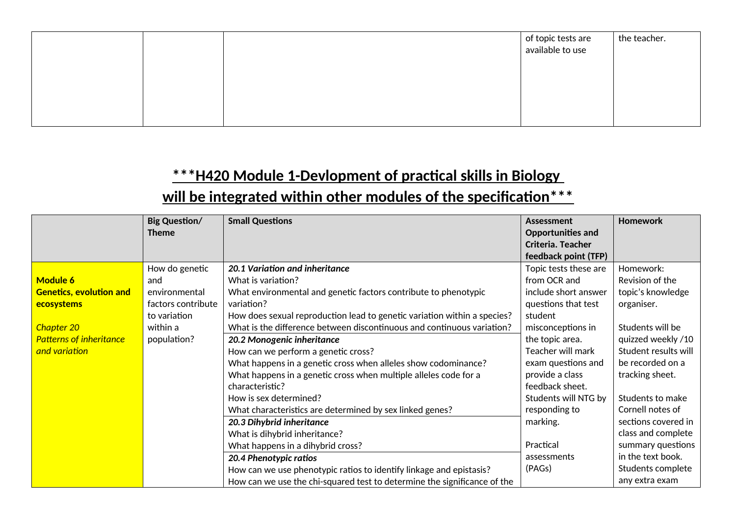|  | of topic tests are<br>  available to use | the teacher. |
|--|------------------------------------------|--------------|
|  |                                          |              |
|  |                                          |              |
|  |                                          |              |

|                                                                                                                                  | <b>Big Question/</b><br><b>Theme</b>                                                                    | <b>Small Questions</b>                                                                                                                                                                                                                                                                                                                                                                                                                                                                                                                                                                                                                                                                                                                                                                                              | Assessment<br><b>Opportunities and</b><br>Criteria. Teacher<br>feedback point (TFP)                                                                                                                                                                                                                                 | <b>Homework</b>                                                                                                                                                                                                                                                                                                              |
|----------------------------------------------------------------------------------------------------------------------------------|---------------------------------------------------------------------------------------------------------|---------------------------------------------------------------------------------------------------------------------------------------------------------------------------------------------------------------------------------------------------------------------------------------------------------------------------------------------------------------------------------------------------------------------------------------------------------------------------------------------------------------------------------------------------------------------------------------------------------------------------------------------------------------------------------------------------------------------------------------------------------------------------------------------------------------------|---------------------------------------------------------------------------------------------------------------------------------------------------------------------------------------------------------------------------------------------------------------------------------------------------------------------|------------------------------------------------------------------------------------------------------------------------------------------------------------------------------------------------------------------------------------------------------------------------------------------------------------------------------|
| <b>Module 6</b><br><b>Genetics, evolution and</b><br>ecosystems<br>Chapter 20<br><b>Patterns of inheritance</b><br>and variation | How do genetic<br>and<br>environmental<br>factors contribute<br>to variation<br>within a<br>population? | 20.1 Variation and inheritance<br>What is variation?<br>What environmental and genetic factors contribute to phenotypic<br>variation?<br>How does sexual reproduction lead to genetic variation within a species?<br>What is the difference between discontinuous and continuous variation?<br>20.2 Monogenic inheritance<br>How can we perform a genetic cross?<br>What happens in a genetic cross when alleles show codominance?<br>What happens in a genetic cross when multiple alleles code for a<br>characteristic?<br>How is sex determined?<br>What characteristics are determined by sex linked genes?<br>20.3 Dihybrid inheritance<br>What is dihybrid inheritance?<br>What happens in a dihybrid cross?<br>20.4 Phenotypic ratios<br>How can we use phenotypic ratios to identify linkage and epistasis? | Topic tests these are<br>from OCR and<br>include short answer<br>questions that test<br>student<br>misconceptions in<br>the topic area.<br>Teacher will mark<br>exam questions and<br>provide a class<br>feedback sheet.<br>Students will NTG by<br>responding to<br>marking.<br>Practical<br>assessments<br>(PAGs) | Homework:<br>Revision of the<br>topic's knowledge<br>organiser.<br>Students will be<br>quizzed weekly /10<br>Student results will<br>be recorded on a<br>tracking sheet.<br>Students to make<br>Cornell notes of<br>sections covered in<br>class and complete<br>summary questions<br>in the text book.<br>Students complete |
|                                                                                                                                  |                                                                                                         | How can we use the chi-squared test to determine the significance of the                                                                                                                                                                                                                                                                                                                                                                                                                                                                                                                                                                                                                                                                                                                                            |                                                                                                                                                                                                                                                                                                                     | any extra exam                                                                                                                                                                                                                                                                                                               |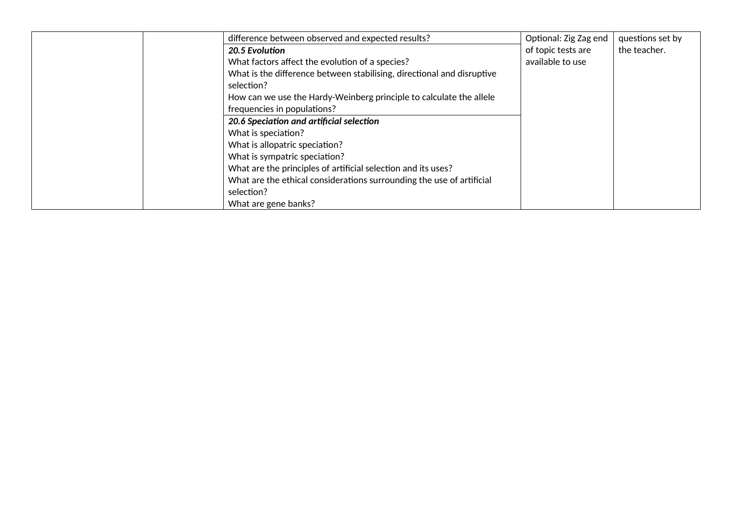| difference between observed and expected results?                      | Optional: Zig Zag end | questions set by |
|------------------------------------------------------------------------|-----------------------|------------------|
| 20.5 Evolution                                                         | of topic tests are    | the teacher.     |
| What factors affect the evolution of a species?                        | available to use      |                  |
| What is the difference between stabilising, directional and disruptive |                       |                  |
| selection?                                                             |                       |                  |
| How can we use the Hardy-Weinberg principle to calculate the allele    |                       |                  |
| frequencies in populations?                                            |                       |                  |
| 20.6 Speciation and artificial selection                               |                       |                  |
| What is speciation?                                                    |                       |                  |
| What is allopatric speciation?                                         |                       |                  |
| What is sympatric speciation?                                          |                       |                  |
| What are the principles of artificial selection and its uses?          |                       |                  |
| What are the ethical considerations surrounding the use of artificial  |                       |                  |
| selection?                                                             |                       |                  |
| What are gene banks?                                                   |                       |                  |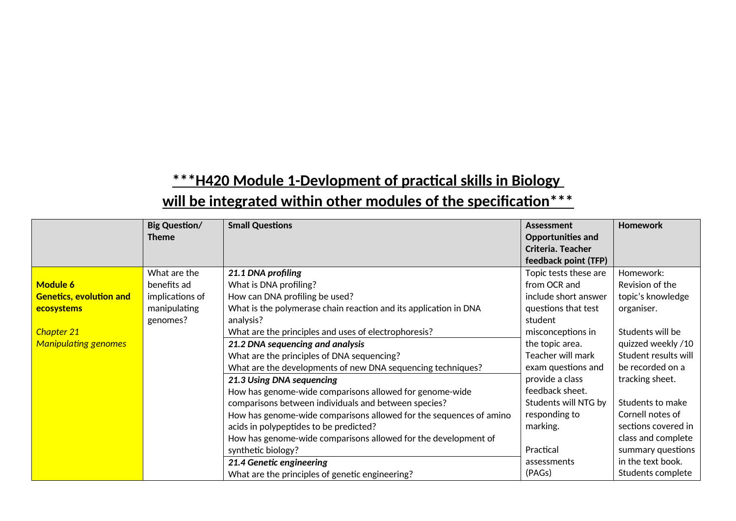|                                | <b>Big Question/</b><br><b>Theme</b> | <b>Small Questions</b>                                             | <b>Assessment</b><br><b>Opportunities and</b><br>Criteria. Teacher<br>feedback point (TFP) | <b>Homework</b>      |
|--------------------------------|--------------------------------------|--------------------------------------------------------------------|--------------------------------------------------------------------------------------------|----------------------|
|                                | What are the                         | 21.1 DNA profiling                                                 | Topic tests these are                                                                      | Homework:            |
|                                |                                      |                                                                    |                                                                                            |                      |
| <b>Module 6</b>                | benefits ad                          | What is DNA profiling?                                             | from OCR and                                                                               | Revision of the      |
| <b>Genetics, evolution and</b> | implications of                      | How can DNA profiling be used?                                     | include short answer                                                                       | topic's knowledge    |
| ecosystems                     | manipulating                         | What is the polymerase chain reaction and its application in DNA   | questions that test                                                                        | organiser.           |
|                                | genomes?                             | analysis?                                                          | student                                                                                    |                      |
| Chapter 21                     |                                      | What are the principles and uses of electrophoresis?               | misconceptions in                                                                          | Students will be     |
| <b>Manipulating genomes</b>    |                                      | 21.2 DNA sequencing and analysis                                   | the topic area.                                                                            | quizzed weekly /10   |
|                                |                                      | What are the principles of DNA sequencing?                         | Teacher will mark                                                                          | Student results will |
|                                |                                      | What are the developments of new DNA sequencing techniques?        | exam questions and                                                                         | be recorded on a     |
|                                |                                      | 21.3 Using DNA sequencing                                          | provide a class                                                                            | tracking sheet.      |
|                                |                                      | How has genome-wide comparisons allowed for genome-wide            | feedback sheet.                                                                            |                      |
|                                |                                      | comparisons between individuals and between species?               | Students will NTG by                                                                       | Students to make     |
|                                |                                      | How has genome-wide comparisons allowed for the sequences of amino | responding to                                                                              | Cornell notes of     |
|                                |                                      | acids in polypeptides to be predicted?                             | marking.                                                                                   | sections covered in  |
|                                |                                      | How has genome-wide comparisons allowed for the development of     |                                                                                            | class and complete   |
|                                |                                      | synthetic biology?                                                 | Practical                                                                                  | summary questions    |
|                                |                                      | 21.4 Genetic engineering                                           | assessments                                                                                | in the text book.    |
|                                |                                      | What are the principles of genetic engineering?                    | (PAGs)                                                                                     | Students complete    |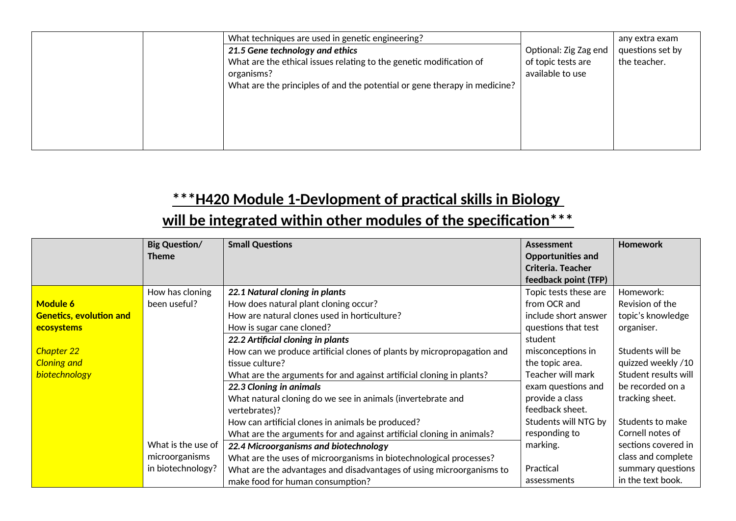| What techniques are used in genetic engineering?                          |                       | any extra exam   |
|---------------------------------------------------------------------------|-----------------------|------------------|
| 21.5 Gene technology and ethics                                           | Optional: Zig Zag end | questions set by |
| What are the ethical issues relating to the genetic modification of       | of topic tests are    | the teacher.     |
| organisms?                                                                | available to use      |                  |
| What are the principles of and the potential or gene therapy in medicine? |                       |                  |
|                                                                           |                       |                  |
|                                                                           |                       |                  |
|                                                                           |                       |                  |
|                                                                           |                       |                  |
|                                                                           |                       |                  |

|                                | <b>Big Question/</b> | <b>Small Questions</b>                                                 | Assessment                                    | <b>Homework</b>      |
|--------------------------------|----------------------|------------------------------------------------------------------------|-----------------------------------------------|----------------------|
|                                | <b>Theme</b>         |                                                                        | <b>Opportunities and</b><br>Criteria. Teacher |                      |
|                                |                      |                                                                        |                                               |                      |
|                                |                      |                                                                        | feedback point (TFP)                          |                      |
|                                | How has cloning      | 22.1 Natural cloning in plants                                         | Topic tests these are                         | Homework:            |
| <b>Module 6</b>                | been useful?         | How does natural plant cloning occur?                                  | from OCR and                                  | Revision of the      |
| <b>Genetics, evolution and</b> |                      | How are natural clones used in horticulture?                           | include short answer                          | topic's knowledge    |
| ecosystems                     |                      | How is sugar cane cloned?                                              | questions that test                           | organiser.           |
|                                |                      | 22.2 Artificial cloning in plants                                      | student                                       |                      |
| Chapter 22                     |                      | How can we produce artificial clones of plants by micropropagation and | misconceptions in                             | Students will be     |
| <b>Cloning and</b>             |                      | tissue culture?                                                        | the topic area.                               | quizzed weekly /10   |
| biotechnology                  |                      | What are the arguments for and against artificial cloning in plants?   | Teacher will mark                             | Student results will |
|                                |                      | 22.3 Cloning in animals                                                | exam questions and                            | be recorded on a     |
|                                |                      | What natural cloning do we see in animals (invertebrate and            | provide a class                               | tracking sheet.      |
|                                |                      | vertebrates)?                                                          | feedback sheet.                               |                      |
|                                |                      | How can artificial clones in animals be produced?                      | Students will NTG by                          | Students to make     |
|                                |                      | What are the arguments for and against artificial cloning in animals?  | responding to                                 | Cornell notes of     |
|                                | What is the use of   | 22.4 Microorganisms and biotechnology                                  | marking.                                      | sections covered in  |
|                                | microorganisms       | What are the uses of microorganisms in biotechnological processes?     |                                               | class and complete   |
|                                | in biotechnology?    | What are the advantages and disadvantages of using microorganisms to   | Practical                                     | summary questions    |
|                                |                      | make food for human consumption?                                       | assessments                                   | in the text book.    |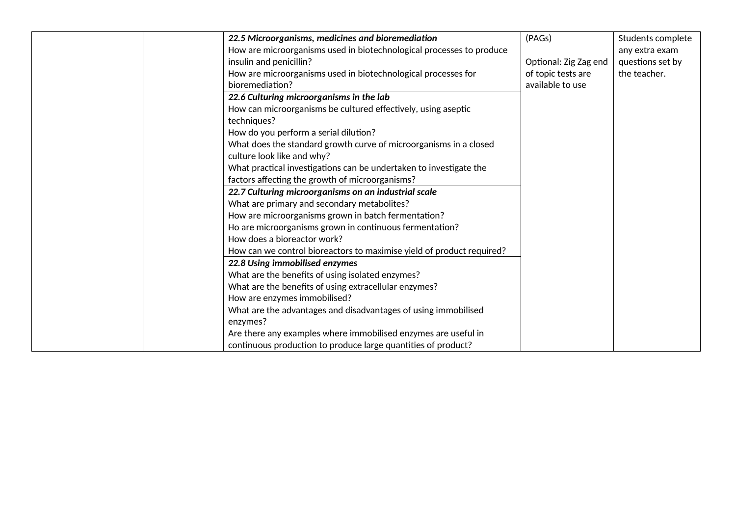| 22.5 Microorganisms, medicines and bioremediation                     | (PAGs)                | Students complete |
|-----------------------------------------------------------------------|-----------------------|-------------------|
| How are microorganisms used in biotechnological processes to produce  |                       | any extra exam    |
| insulin and penicillin?                                               | Optional: Zig Zag end | questions set by  |
| How are microorganisms used in biotechnological processes for         | of topic tests are    | the teacher.      |
| bioremediation?                                                       | available to use      |                   |
| 22.6 Culturing microorganisms in the lab                              |                       |                   |
| How can microorganisms be cultured effectively, using aseptic         |                       |                   |
| techniques?                                                           |                       |                   |
| How do you perform a serial dilution?                                 |                       |                   |
| What does the standard growth curve of microorganisms in a closed     |                       |                   |
| culture look like and why?                                            |                       |                   |
| What practical investigations can be undertaken to investigate the    |                       |                   |
| factors affecting the growth of microorganisms?                       |                       |                   |
| 22.7 Culturing microorganisms on an industrial scale                  |                       |                   |
| What are primary and secondary metabolites?                           |                       |                   |
| How are microorganisms grown in batch fermentation?                   |                       |                   |
| Ho are microorganisms grown in continuous fermentation?               |                       |                   |
| How does a bioreactor work?                                           |                       |                   |
| How can we control bioreactors to maximise yield of product required? |                       |                   |
| 22.8 Using immobilised enzymes                                        |                       |                   |
| What are the benefits of using isolated enzymes?                      |                       |                   |
| What are the benefits of using extracellular enzymes?                 |                       |                   |
| How are enzymes immobilised?                                          |                       |                   |
| What are the advantages and disadvantages of using immobilised        |                       |                   |
| enzymes?                                                              |                       |                   |
| Are there any examples where immobilised enzymes are useful in        |                       |                   |
| continuous production to produce large quantities of product?         |                       |                   |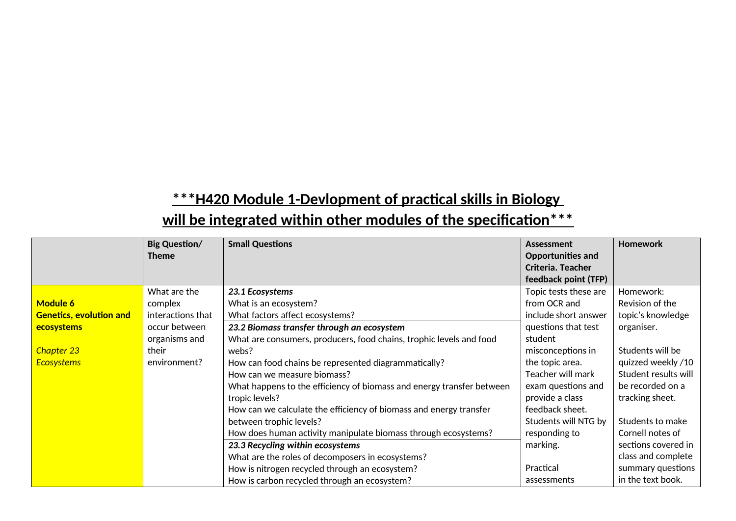|                                | <b>Big Question/</b><br><b>Theme</b> | <b>Small Questions</b>                                                | Assessment<br>Opportunities and | <b>Homework</b>      |
|--------------------------------|--------------------------------------|-----------------------------------------------------------------------|---------------------------------|----------------------|
|                                |                                      |                                                                       | Criteria. Teacher               |                      |
|                                |                                      |                                                                       | feedback point (TFP)            |                      |
|                                | What are the                         | 23.1 Ecosystems                                                       | Topic tests these are           | Homework:            |
| <b>Module 6</b>                | complex                              | What is an ecosystem?                                                 | from OCR and                    | Revision of the      |
| <b>Genetics, evolution and</b> | interactions that                    | What factors affect ecosystems?                                       | include short answer            | topic's knowledge    |
| ecosystems                     | occur between                        | 23.2 Biomass transfer through an ecosystem                            | questions that test             | organiser.           |
|                                | organisms and                        | What are consumers, producers, food chains, trophic levels and food   | student                         |                      |
| Chapter 23                     | their                                | webs?                                                                 | misconceptions in               | Students will be     |
| <b>Ecosystems</b>              | environment?                         | How can food chains be represented diagrammatically?                  | the topic area.                 | quizzed weekly /10   |
|                                |                                      | How can we measure biomass?                                           | Teacher will mark               | Student results will |
|                                |                                      | What happens to the efficiency of biomass and energy transfer between | exam questions and              | be recorded on a     |
|                                |                                      | tropic levels?                                                        | provide a class                 | tracking sheet.      |
|                                |                                      | How can we calculate the efficiency of biomass and energy transfer    | feedback sheet.                 |                      |
|                                |                                      | between trophic levels?                                               | Students will NTG by            | Students to make     |
|                                |                                      | How does human activity manipulate biomass through ecosystems?        | responding to                   | Cornell notes of     |
|                                |                                      | 23.3 Recycling within ecosystems                                      | marking.                        | sections covered in  |
|                                |                                      | What are the roles of decomposers in ecosystems?                      |                                 | class and complete   |
|                                |                                      | How is nitrogen recycled through an ecosystem?                        | Practical                       | summary questions    |
|                                |                                      | How is carbon recycled through an ecosystem?                          | assessments                     | in the text book.    |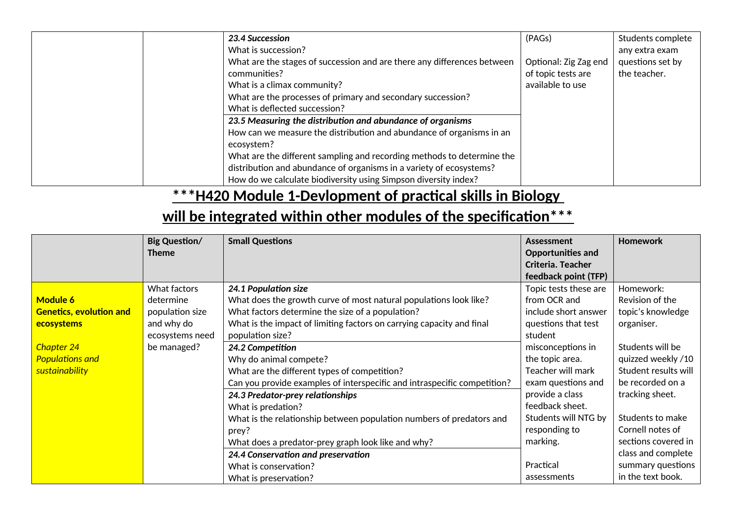| <b>23.4 Succession</b>                                                  | (PAGs)                | Students complete |
|-------------------------------------------------------------------------|-----------------------|-------------------|
| What is succession?                                                     |                       | any extra exam    |
| What are the stages of succession and are there any differences between | Optional: Zig Zag end | questions set by  |
| communities?                                                            | of topic tests are    | the teacher.      |
| What is a climax community?                                             | available to use      |                   |
| What are the processes of primary and secondary succession?             |                       |                   |
| What is deflected succession?                                           |                       |                   |
| 23.5 Measuring the distribution and abundance of organisms              |                       |                   |
| How can we measure the distribution and abundance of organisms in an    |                       |                   |
| ecosystem?                                                              |                       |                   |
| What are the different sampling and recording methods to determine the  |                       |                   |
| distribution and abundance of organisms in a variety of ecosystems?     |                       |                   |
| How do we calculate biodiversity using Simpson diversity index?         |                       |                   |

|                                | <b>Big Question/</b><br><b>Theme</b> | <b>Small Questions</b>                                                   | Assessment<br>Opportunities and<br>Criteria. Teacher<br>feedback point (TFP) | <b>Homework</b>      |
|--------------------------------|--------------------------------------|--------------------------------------------------------------------------|------------------------------------------------------------------------------|----------------------|
|                                | What factors                         | 24.1 Population size                                                     | Topic tests these are                                                        | Homework:            |
| <b>Module 6</b>                | determine                            | What does the growth curve of most natural populations look like?        | from OCR and                                                                 | Revision of the      |
| <b>Genetics, evolution and</b> | population size                      | What factors determine the size of a population?                         | include short answer                                                         | topic's knowledge    |
| ecosystems                     | and why do                           | What is the impact of limiting factors on carrying capacity and final    | questions that test                                                          | organiser.           |
|                                | ecosystems need                      | population size?                                                         | student                                                                      |                      |
| Chapter 24                     | be managed?                          | 24.2 Competition                                                         | misconceptions in                                                            | Students will be     |
| <b>Populations and</b>         |                                      | Why do animal compete?                                                   | the topic area.                                                              | quizzed weekly /10   |
| sustainability                 |                                      | What are the different types of competition?                             | Teacher will mark                                                            | Student results will |
|                                |                                      | Can you provide examples of interspecific and intraspecific competition? | exam questions and                                                           | be recorded on a     |
|                                |                                      | 24.3 Predator-prey relationships                                         | provide a class                                                              | tracking sheet.      |
|                                |                                      | What is predation?                                                       | feedback sheet.                                                              |                      |
|                                |                                      | What is the relationship between population numbers of predators and     | Students will NTG by                                                         | Students to make     |
|                                |                                      | prey?                                                                    | responding to                                                                | Cornell notes of     |
|                                |                                      | What does a predator-prey graph look like and why?                       | marking.                                                                     | sections covered in  |
|                                |                                      | 24.4 Conservation and preservation                                       |                                                                              | class and complete   |
|                                |                                      | What is conservation?                                                    | Practical                                                                    | summary questions    |
|                                |                                      | What is preservation?                                                    | assessments                                                                  | in the text book.    |